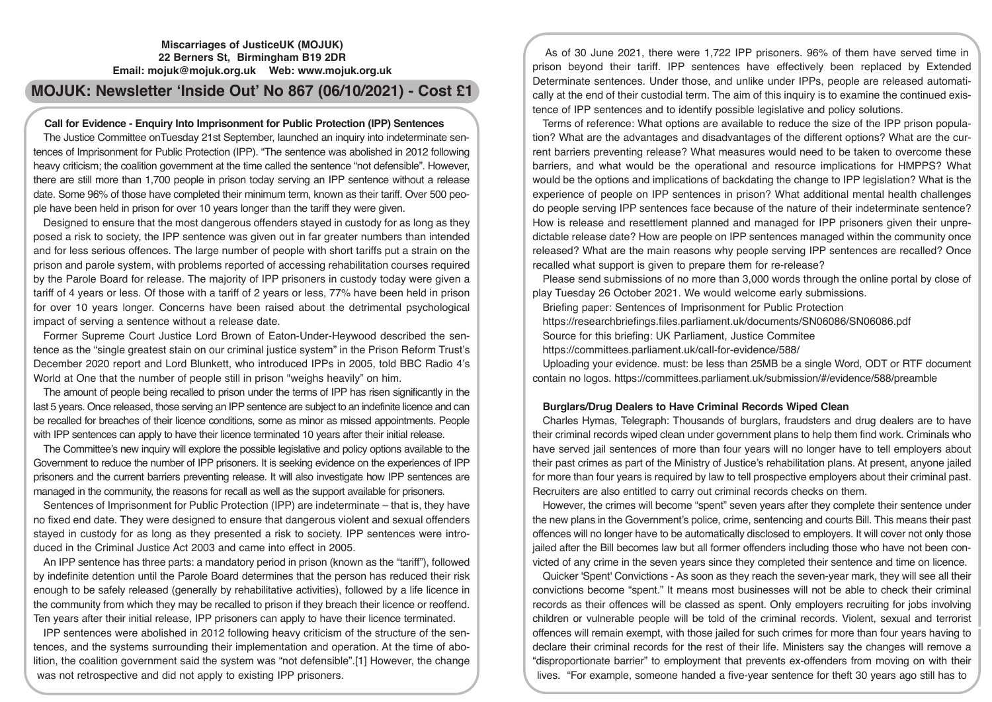## **Miscarriages of JusticeUK (MOJUK) 22 Berners St, Birmingham B19 2DR Email: mojuk@mojuk.org.uk Web: www.mojuk.org.uk**

# **MOJUK: Newsletter 'Inside Out' No 867 (06/10/2021) - Cost £1**

# **Call for Evidence - Enquiry Into Imprisonment for Public Protection (IPP) Sentences**

The Justice Committee onTuesday 21st September, launched an inquiry into indeterminate sentences of Imprisonment for Public Protection (IPP). "The sentence was abolished in 2012 following heavy criticism; the coalition government at the time called the sentence "not defensible". However, there are still more than 1,700 people in prison today serving an IPP sentence without a release date. Some 96% of those have completed their minimum term, known as their tariff. Over 500 people have been held in prison for over 10 years longer than the tariff they were given.

Designed to ensure that the most dangerous offenders stayed in custody for as long as they posed a risk to society, the IPP sentence was given out in far greater numbers than intended and for less serious offences. The large number of people with short tariffs put a strain on the prison and parole system, with problems reported of accessing rehabilitation courses required by the Parole Board for release. The majority of IPP prisoners in custody today were given a tariff of 4 years or less. Of those with a tariff of 2 years or less, 77% have been held in prison for over 10 years longer. Concerns have been raised about the detrimental psychological impact of serving a sentence without a release date.

Former Supreme Court Justice Lord Brown of Eaton-Under-Heywood described the sentence as the "single greatest stain on our criminal justice system" in the Prison Reform Trust's December 2020 report and Lord Blunkett, who introduced IPPs in 2005, told BBC Radio 4's World at One that the number of people still in prison "weighs heavily" on him.

The amount of people being recalled to prison under the terms of IPP has risen significantly in the last 5 years. Once released, those serving an IPP sentence are subject to an indefinite licence and can be recalled for breaches of their licence conditions, some as minor as missed appointments. People with IPP sentences can apply to have their licence terminated 10 years after their initial release.

The Committee's new inquiry will explore the possible legislative and policy options available to the Government to reduce the number of IPP prisoners. It is seeking evidence on the experiences of IPP prisoners and the current barriers preventing release. It will also investigate how IPP sentences are managed in the community, the reasons for recall as well as the support available for prisoners.

Sentences of Imprisonment for Public Protection (IPP) are indeterminate – that is, they have no fixed end date. They were designed to ensure that dangerous violent and sexual offenders stayed in custody for as long as they presented a risk to society. IPP sentences were introduced in the Criminal Justice Act 2003 and came into effect in 2005.

An IPP sentence has three parts: a mandatory period in prison (known as the "tariff"), followed by indefinite detention until the Parole Board determines that the person has reduced their risk enough to be safely released (generally by rehabilitative activities), followed by a life licence in the community from which they may be recalled to prison if they breach their licence or reoffend. Ten years after their initial release, IPP prisoners can apply to have their licence terminated.

IPP sentences were abolished in 2012 following heavy criticism of the structure of the sentences, and the systems surrounding their implementation and operation. At the time of abolition, the coalition government said the system was "not defensible".[1] However, the change was not retrospective and did not apply to existing IPP prisoners.

As of 30 June 2021, there were 1,722 IPP prisoners. 96% of them have served time in prison beyond their tariff. IPP sentences have effectively been replaced by Extended Determinate sentences. Under those, and unlike under IPPs, people are released automatically at the end of their custodial term. The aim of this inquiry is to examine the continued existence of IPP sentences and to identify possible legislative and policy solutions.

Terms of reference: What options are available to reduce the size of the IPP prison population? What are the advantages and disadvantages of the different options? What are the current barriers preventing release? What measures would need to be taken to overcome these barriers, and what would be the operational and resource implications for HMPPS? What would be the options and implications of backdating the change to IPP legislation? What is the experience of people on IPP sentences in prison? What additional mental health challenges do people serving IPP sentences face because of the nature of their indeterminate sentence? How is release and resettlement planned and managed for IPP prisoners given their unpredictable release date? How are people on IPP sentences managed within the community once released? What are the main reasons why people serving IPP sentences are recalled? Once recalled what support is given to prepare them for re-release?

Please send submissions of no more than 3,000 words through the online portal by close of play Tuesday 26 October 2021. We would welcome early submissions.

Briefing paper: Sentences of Imprisonment for Public Protection

https://researchbriefings.files.parliament.uk/documents/SN06086/SN06086.pdf

Source for this briefing: UK Parliament, Justice Commitee

https://committees.parliament.uk/call-for-evidence/588/

Uploading your evidence. must: be less than 25MB be a single Word, ODT or RTF document contain no logos. https://committees.parliament.uk/submission/#/evidence/588/preamble

# **Burglars/Drug Dealers to Have Criminal Records Wiped Clean**

Charles Hymas, Telegraph: Thousands of burglars, fraudsters and drug dealers are to have their criminal records wiped clean under government plans to help them find work. Criminals who have served jail sentences of more than four years will no longer have to tell employers about their past crimes as part of the Ministry of Justice's rehabilitation plans. At present, anyone jailed for more than four years is required by law to tell prospective employers about their criminal past. Recruiters are also entitled to carry out criminal records checks on them.

However, the crimes will become "spent" seven years after they complete their sentence under the new plans in the Government's police, crime, sentencing and courts Bill. This means their past offences will no longer have to be automatically disclosed to employers. It will cover not only those jailed after the Bill becomes law but all former offenders including those who have not been convicted of any crime in the seven years since they completed their sentence and time on licence.

Quicker 'Spent' Convictions - As soon as they reach the seven-year mark, they will see all their convictions become "spent." It means most businesses will not be able to check their criminal records as their offences will be classed as spent. Only employers recruiting for jobs involving children or vulnerable people will be told of the criminal records. Violent, sexual and terrorist offences will remain exempt, with those jailed for such crimes for more than four years having to declare their criminal records for the rest of their life. Ministers say the changes will remove a "disproportionate barrier" to employment that prevents ex-offenders from moving on with their lives. "For example, someone handed a five-year sentence for theft 30 years ago still has to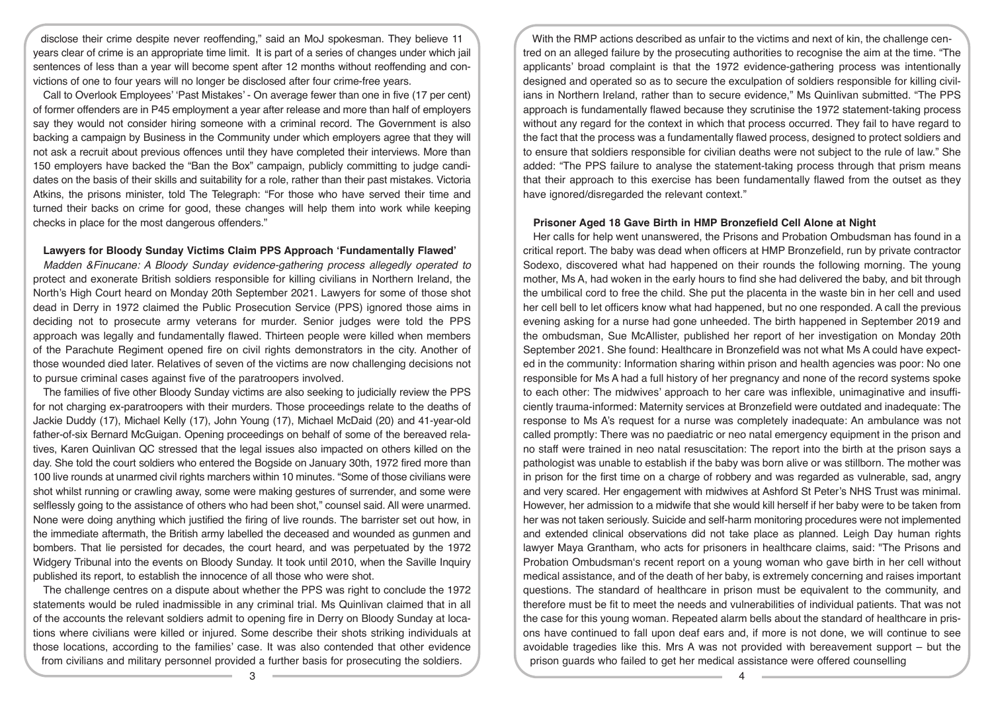disclose their crime despite never reoffending," said an MoJ spokesman. They believe 11 years clear of crime is an appropriate time limit. It is part of a series of changes under which jail sentences of less than a year will become spent after 12 months without reoffending and convictions of one to four years will no longer be disclosed after four crime-free years.

Call to Overlook Employees' 'Past Mistakes' - On average fewer than one in five (17 per cent) of former offenders are in P45 employment a year after release and more than half of employers say they would not consider hiring someone with a criminal record. The Government is also backing a campaign by Business in the Community under which employers agree that they will not ask a recruit about previous offences until they have completed their interviews. More than 150 employers have backed the "Ban the Box" campaign, publicly committing to judge candidates on the basis of their skills and suitability for a role, rather than their past mistakes. Victoria Atkins, the prisons minister, told The Telegraph: "For those who have served their time and turned their backs on crime for good, these changes will help them into work while keeping checks in place for the most dangerous offenders."

#### **Lawyers for Bloody Sunday Victims Claim PPS Approach 'Fundamentally Flawed'**

*Madden &Finucane: A Bloody Sunday evidence-gathering process allegedly operated to*  protect and exonerate British soldiers responsible for killing civilians in Northern Ireland, the North's High Court heard on Monday 20th September 2021. Lawyers for some of those shot dead in Derry in 1972 claimed the Public Prosecution Service (PPS) ignored those aims in deciding not to prosecute army veterans for murder. Senior judges were told the PPS approach was legally and fundamentally flawed. Thirteen people were killed when members of the Parachute Regiment opened fire on civil rights demonstrators in the city. Another of those wounded died later. Relatives of seven of the victims are now challenging decisions not to pursue criminal cases against five of the paratroopers involved.

The families of five other Bloody Sunday victims are also seeking to judicially review the PPS for not charging ex-paratroopers with their murders. Those proceedings relate to the deaths of Jackie Duddy (17), Michael Kelly (17), John Young (17), Michael McDaid (20) and 41-year-old father-of-six Bernard McGuigan. Opening proceedings on behalf of some of the bereaved relatives, Karen Quinlivan QC stressed that the legal issues also impacted on others killed on the day. She told the court soldiers who entered the Bogside on January 30th, 1972 fired more than 100 live rounds at unarmed civil rights marchers within 10 minutes. "Some of those civilians were shot whilst running or crawling away, some were making gestures of surrender, and some were selflessly going to the assistance of others who had been shot," counsel said. All were unarmed. None were doing anything which justified the firing of live rounds. The barrister set out how, in the immediate aftermath, the British army labelled the deceased and wounded as gunmen and bombers. That lie persisted for decades, the court heard, and was perpetuated by the 1972 Widgery Tribunal into the events on Bloody Sunday. It took until 2010, when the Saville Inquiry published its report, to establish the innocence of all those who were shot.

The challenge centres on a dispute about whether the PPS was right to conclude the 1972 statements would be ruled inadmissible in any criminal trial. Ms Quinlivan claimed that in all of the accounts the relevant soldiers admit to opening fire in Derry on Bloody Sunday at locations where civilians were killed or injured. Some describe their shots striking individuals at those locations, according to the families' case. It was also contended that other evidence from civilians and military personnel provided a further basis for prosecuting the soldiers.

With the RMP actions described as unfair to the victims and next of kin, the challenge centred on an alleged failure by the prosecuting authorities to recognise the aim at the time. "The applicants' broad complaint is that the 1972 evidence-gathering process was intentionally designed and operated so as to secure the exculpation of soldiers responsible for killing civilians in Northern Ireland, rather than to secure evidence," Ms Quinlivan submitted. "The PPS approach is fundamentally flawed because they scrutinise the 1972 statement-taking process without any regard for the context in which that process occurred. They fail to have regard to the fact that the process was a fundamentally flawed process, designed to protect soldiers and to ensure that soldiers responsible for civilian deaths were not subject to the rule of law." She added: "The PPS failure to analyse the statement-taking process through that prism means that their approach to this exercise has been fundamentally flawed from the outset as they have ignored/disregarded the relevant context."

#### **Prisoner Aged 18 Gave Birth in HMP Bronzefield Cell Alone at Night**

Her calls for help went unanswered, the Prisons and Probation Ombudsman has found in a critical report. The baby was dead when officers at HMP Bronzefield, run by private contractor Sodexo, discovered what had happened on their rounds the following morning. The young mother, Ms A, had woken in the early hours to find she had delivered the baby, and bit through the umbilical cord to free the child. She put the placenta in the waste bin in her cell and used her cell bell to let officers know what had happened, but no one responded. A call the previous evening asking for a nurse had gone unheeded. The birth happened in September 2019 and the ombudsman, Sue McAllister, published her report of her investigation on Monday 20th September 2021. She found: Healthcare in Bronzefield was not what Ms A could have expected in the community: Information sharing within prison and health agencies was poor: No one responsible for Ms A had a full history of her pregnancy and none of the record systems spoke to each other: The midwives' approach to her care was inflexible, unimaginative and insufficiently trauma-informed: Maternity services at Bronzefield were outdated and inadequate: The response to Ms A's request for a nurse was completely inadequate: An ambulance was not called promptly: There was no paediatric or neo natal emergency equipment in the prison and no staff were trained in neo natal resuscitation: The report into the birth at the prison says a pathologist was unable to establish if the baby was born alive or was stillborn. The mother was in prison for the first time on a charge of robbery and was regarded as vulnerable, sad, angry and very scared. Her engagement with midwives at Ashford St Peter's NHS Trust was minimal. However, her admission to a midwife that she would kill herself if her baby were to be taken from her was not taken seriously. Suicide and self-harm monitoring procedures were not implemented and extended clinical observations did not take place as planned. Leigh Day human rights lawyer Maya Grantham, who acts for prisoners in healthcare claims, said: "The Prisons and Probation Ombudsman's recent report on a young woman who gave birth in her cell without medical assistance, and of the death of her baby, is extremely concerning and raises important questions. The standard of healthcare in prison must be equivalent to the community, and therefore must be fit to meet the needs and vulnerabilities of individual patients. That was not the case for this young woman. Repeated alarm bells about the standard of healthcare in prisons have continued to fall upon deaf ears and, if more is not done, we will continue to see avoidable tragedies like this. Mrs A was not provided with bereavement support – but the prison guards who failed to get her medical assistance were offered counselling

 $\overline{3}$   $\overline{4}$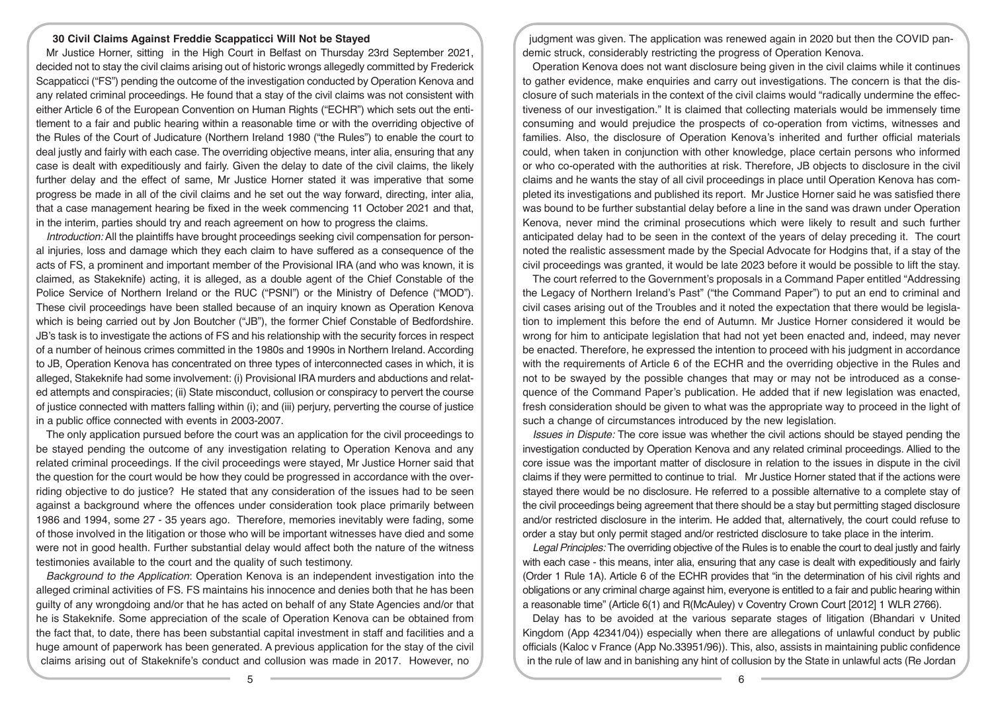#### **30 Civil Claims Against Freddie Scappaticci Will Not be Stayed**

Mr Justice Horner, sitting in the High Court in Belfast on Thursday 23rd September 2021, decided not to stay the civil claims arising out of historic wrongs allegedly committed by Frederick Scappaticci ("FS") pending the outcome of the investigation conducted by Operation Kenova and any related criminal proceedings. He found that a stay of the civil claims was not consistent with either Article 6 of the European Convention on Human Rights ("ECHR") which sets out the entitlement to a fair and public hearing within a reasonable time or with the overriding objective of the Rules of the Court of Judicature (Northern Ireland 1980 ("the Rules") to enable the court to deal justly and fairly with each case. The overriding objective means, inter alia, ensuring that any case is dealt with expeditiously and fairly. Given the delay to date of the civil claims, the likely further delay and the effect of same, Mr Justice Horner stated it was imperative that some progress be made in all of the civil claims and he set out the way forward, directing, inter alia, that a case management hearing be fixed in the week commencing 11 October 2021 and that, in the interim, parties should try and reach agreement on how to progress the claims.

*Introduction:* All the plaintiffs have brought proceedings seeking civil compensation for personal injuries, loss and damage which they each claim to have suffered as a consequence of the acts of FS, a prominent and important member of the Provisional IRA (and who was known, it is claimed, as Stakeknife) acting, it is alleged, as a double agent of the Chief Constable of the Police Service of Northern Ireland or the RUC ("PSNI") or the Ministry of Defence ("MOD"). These civil proceedings have been stalled because of an inquiry known as Operation Kenova which is being carried out by Jon Boutcher ("JB"), the former Chief Constable of Bedfordshire. JB's task is to investigate the actions of FS and his relationship with the security forces in respect of a number of heinous crimes committed in the 1980s and 1990s in Northern Ireland. According to JB, Operation Kenova has concentrated on three types of interconnected cases in which, it is alleged, Stakeknife had some involvement: (i) Provisional IRA murders and abductions and related attempts and conspiracies; (ii) State misconduct, collusion or conspiracy to pervert the course of justice connected with matters falling within (i); and (iii) perjury, perverting the course of justice in a public office connected with events in 2003-2007.

The only application pursued before the court was an application for the civil proceedings to be stayed pending the outcome of any investigation relating to Operation Kenova and any related criminal proceedings. If the civil proceedings were stayed, Mr Justice Horner said that the question for the court would be how they could be progressed in accordance with the overriding objective to do justice? He stated that any consideration of the issues had to be seen against a background where the offences under consideration took place primarily between 1986 and 1994, some 27 - 35 years ago. Therefore, memories inevitably were fading, some of those involved in the litigation or those who will be important witnesses have died and some were not in good health. Further substantial delay would affect both the nature of the witness testimonies available to the court and the quality of such testimony.

*Background to the Application*: Operation Kenova is an independent investigation into the alleged criminal activities of FS. FS maintains his innocence and denies both that he has been guilty of any wrongdoing and/or that he has acted on behalf of any State Agencies and/or that he is Stakeknife. Some appreciation of the scale of Operation Kenova can be obtained from the fact that, to date, there has been substantial capital investment in staff and facilities and a huge amount of paperwork has been generated. A previous application for the stay of the civil claims arising out of Stakeknife's conduct and collusion was made in 2017. However, no

judgment was given. The application was renewed again in 2020 but then the COVID pandemic struck, considerably restricting the progress of Operation Kenova.

Operation Kenova does not want disclosure being given in the civil claims while it continues to gather evidence, make enquiries and carry out investigations. The concern is that the disclosure of such materials in the context of the civil claims would "radically undermine the effectiveness of our investigation." It is claimed that collecting materials would be immensely time consuming and would prejudice the prospects of co-operation from victims, witnesses and families. Also, the disclosure of Operation Kenova's inherited and further official materials could, when taken in conjunction with other knowledge, place certain persons who informed or who co-operated with the authorities at risk. Therefore, JB objects to disclosure in the civil claims and he wants the stay of all civil proceedings in place until Operation Kenova has completed its investigations and published its report. Mr Justice Horner said he was satisfied there was bound to be further substantial delay before a line in the sand was drawn under Operation Kenova, never mind the criminal prosecutions which were likely to result and such further anticipated delay had to be seen in the context of the years of delay preceding it. The court noted the realistic assessment made by the Special Advocate for Hodgins that, if a stay of the civil proceedings was granted, it would be late 2023 before it would be possible to lift the stay.

The court referred to the Government's proposals in a Command Paper entitled "Addressing the Legacy of Northern Ireland's Past" ("the Command Paper") to put an end to criminal and civil cases arising out of the Troubles and it noted the expectation that there would be legislation to implement this before the end of Autumn. Mr Justice Horner considered it would be wrong for him to anticipate legislation that had not yet been enacted and, indeed, may never be enacted. Therefore, he expressed the intention to proceed with his judgment in accordance with the requirements of Article 6 of the ECHR and the overriding objective in the Rules and not to be swayed by the possible changes that may or may not be introduced as a consequence of the Command Paper's publication. He added that if new legislation was enacted, fresh consideration should be given to what was the appropriate way to proceed in the light of such a change of circumstances introduced by the new legislation.

*Issues in Dispute:* The core issue was whether the civil actions should be stayed pending the investigation conducted by Operation Kenova and any related criminal proceedings. Allied to the core issue was the important matter of disclosure in relation to the issues in dispute in the civil claims if they were permitted to continue to trial. Mr Justice Horner stated that if the actions were stayed there would be no disclosure. He referred to a possible alternative to a complete stay of the civil proceedings being agreement that there should be a stay but permitting staged disclosure and/or restricted disclosure in the interim. He added that, alternatively, the court could refuse to order a stay but only permit staged and/or restricted disclosure to take place in the interim.

*Legal Principles:* The overriding objective of the Rules is to enable the court to deal justly and fairly with each case - this means, inter alia, ensuring that any case is dealt with expeditiously and fairly (Order 1 Rule 1A). Article 6 of the ECHR provides that "in the determination of his civil rights and obligations or any criminal charge against him, everyone is entitled to a fair and public hearing within a reasonable time" (Article 6(1) and R(McAuley) v Coventry Crown Court [2012] 1 WLR 2766).

Delay has to be avoided at the various separate stages of litigation (Bhandari v United Kingdom (App 42341/04)) especially when there are allegations of unlawful conduct by public officials (Kaloc v France (App No.33951/96)). This, also, assists in maintaining public confidence in the rule of law and in banishing any hint of collusion by the State in unlawful acts (Re Jordan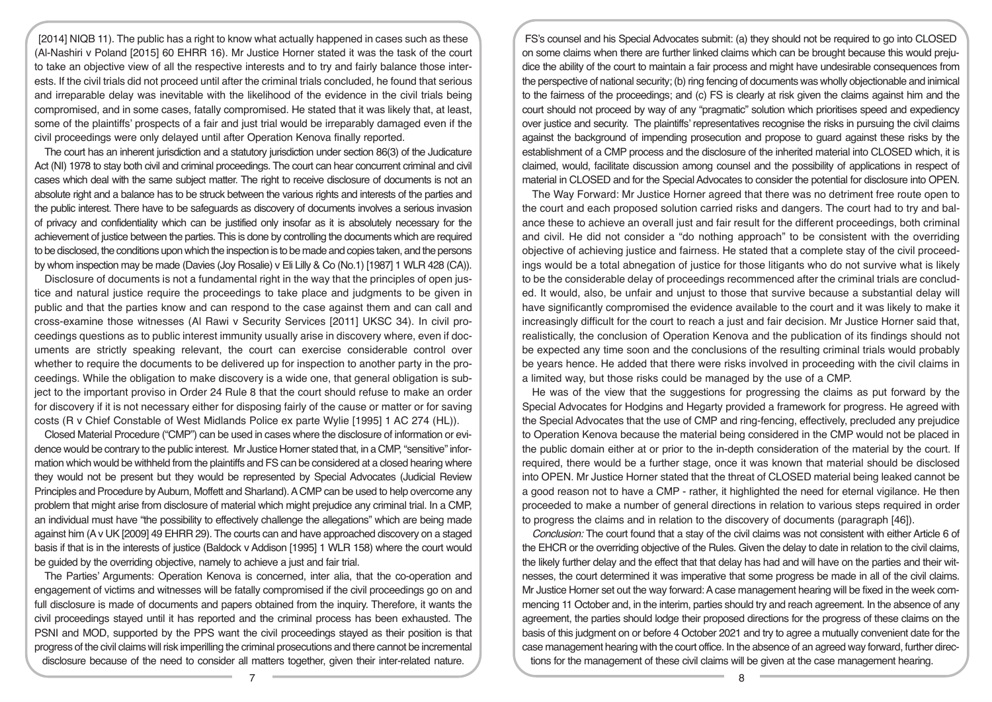[2014] NIQB 11). The public has a right to know what actually happened in cases such as these (Al-Nashiri v Poland [2015] 60 EHRR 16). Mr Justice Horner stated it was the task of the court to take an objective view of all the respective interests and to try and fairly balance those interests. If the civil trials did not proceed until after the criminal trials concluded, he found that serious and irreparable delay was inevitable with the likelihood of the evidence in the civil trials being compromised, and in some cases, fatally compromised. He stated that it was likely that, at least, some of the plaintiffs' prospects of a fair and just trial would be irreparably damaged even if the civil proceedings were only delayed until after Operation Kenova finally reported.

The court has an inherent jurisdiction and a statutory jurisdiction under section 86(3) of the Judicature Act (NI) 1978 to stay both civil and criminal proceedings. The court can hear concurrent criminal and civil cases which deal with the same subject matter. The right to receive disclosure of documents is not an absolute right and a balance has to be struck between the various rights and interests of the parties and the public interest. There have to be safeguards as discovery of documents involves a serious invasion of privacy and confidentiality which can be justified only insofar as it is absolutely necessary for the achievement of justice between the parties. This is done by controlling the documents which are required to be disclosed, the conditions upon which the inspection is to be made and copies taken, and the persons by whom inspection may be made (Davies (Joy Rosalie) v Eli Lilly & Co (No.1) [1987] 1 WLR 428 (CA)).

Disclosure of documents is not a fundamental right in the way that the principles of open justice and natural justice require the proceedings to take place and judgments to be given in public and that the parties know and can respond to the case against them and can call and cross-examine those witnesses (Al Rawi v Security Services [2011] UKSC 34). In civil proceedings questions as to public interest immunity usually arise in discovery where, even if documents are strictly speaking relevant, the court can exercise considerable control over whether to require the documents to be delivered up for inspection to another party in the proceedings. While the obligation to make discovery is a wide one, that general obligation is subject to the important proviso in Order 24 Rule 8 that the court should refuse to make an order for discovery if it is not necessary either for disposing fairly of the cause or matter or for saving costs (R v Chief Constable of West Midlands Police ex parte Wylie [1995] 1 AC 274 (HL)).

Closed Material Procedure ("CMP") can be used in cases where the disclosure of information or evidence would be contrary to the public interest. Mr Justice Horner stated that, in a CMP, "sensitive" information which would be withheld from the plaintiffs and FS can be considered at a closed hearing where they would not be present but they would be represented by Special Advocates (Judicial Review Principles and Procedure by Auburn, Moffett and Sharland). A CMP can be used to help overcome any problem that might arise from disclosure of material which might prejudice any criminal trial. In a CMP, an individual must have "the possibility to effectively challenge the allegations" which are being made against him (A v UK [2009] 49 EHRR 29). The courts can and have approached discovery on a staged basis if that is in the interests of justice (Baldock v Addison [1995] 1 WLR 158) where the court would be guided by the overriding objective, namely to achieve a just and fair trial.

The Parties' Arguments: Operation Kenova is concerned, inter alia, that the co-operation and engagement of victims and witnesses will be fatally compromised if the civil proceedings go on and full disclosure is made of documents and papers obtained from the inquiry. Therefore, it wants the civil proceedings stayed until it has reported and the criminal process has been exhausted. The PSNI and MOD, supported by the PPS want the civil proceedings stayed as their position is that progress of the civil claims will risk imperilling the criminal prosecutions and there cannot be incremental disclosure because of the need to consider all matters together, given their inter-related nature.

FS's counsel and his Special Advocates submit: (a) they should not be required to go into CLOSED on some claims when there are further linked claims which can be brought because this would prejudice the ability of the court to maintain a fair process and might have undesirable consequences from the perspective of national security; (b) ring fencing of documents was wholly objectionable and inimical to the fairness of the proceedings; and (c) FS is clearly at risk given the claims against him and the court should not proceed by way of any "pragmatic" solution which prioritises speed and expediency over justice and security. The plaintiffs' representatives recognise the risks in pursuing the civil claims against the background of impending prosecution and propose to guard against these risks by the establishment of a CMP process and the disclosure of the inherited material into CLOSED which, it is claimed, would, facilitate discussion among counsel and the possibility of applications in respect of material in CLOSED and for the Special Advocates to consider the potential for disclosure into OPEN.

The Way Forward: Mr Justice Horner agreed that there was no detriment free route open to the court and each proposed solution carried risks and dangers. The court had to try and balance these to achieve an overall just and fair result for the different proceedings, both criminal and civil. He did not consider a "do nothing approach" to be consistent with the overriding objective of achieving justice and fairness. He stated that a complete stay of the civil proceedings would be a total abnegation of justice for those litigants who do not survive what is likely to be the considerable delay of proceedings recommenced after the criminal trials are concluded. It would, also, be unfair and unjust to those that survive because a substantial delay will have significantly compromised the evidence available to the court and it was likely to make it increasingly difficult for the court to reach a just and fair decision. Mr Justice Horner said that, realistically, the conclusion of Operation Kenova and the publication of its findings should not be expected any time soon and the conclusions of the resulting criminal trials would probably be years hence. He added that there were risks involved in proceeding with the civil claims in a limited way, but those risks could be managed by the use of a CMP.

He was of the view that the suggestions for progressing the claims as put forward by the Special Advocates for Hodgins and Hegarty provided a framework for progress. He agreed with the Special Advocates that the use of CMP and ring-fencing, effectively, precluded any prejudice to Operation Kenova because the material being considered in the CMP would not be placed in the public domain either at or prior to the in-depth consideration of the material by the court. If required, there would be a further stage, once it was known that material should be disclosed into OPEN. Mr Justice Horner stated that the threat of CLOSED material being leaked cannot be a good reason not to have a CMP - rather, it highlighted the need for eternal vigilance. He then proceeded to make a number of general directions in relation to various steps required in order to progress the claims and in relation to the discovery of documents (paragraph [46]).

*Conclusion:* The court found that a stay of the civil claims was not consistent with either Article 6 of the EHCR or the overriding objective of the Rules. Given the delay to date in relation to the civil claims, the likely further delay and the effect that that delay has had and will have on the parties and their witnesses, the court determined it was imperative that some progress be made in all of the civil claims. Mr Justice Horner set out the way forward: A case management hearing will be fixed in the week commencing 11 October and, in the interim, parties should try and reach agreement. In the absence of any agreement, the parties should lodge their proposed directions for the progress of these claims on the basis of this judgment on or before 4 October 2021 and try to agree a mutually convenient date for the case management hearing with the court office. In the absence of an agreed way forward, further directions for the management of these civil claims will be given at the case management hearing.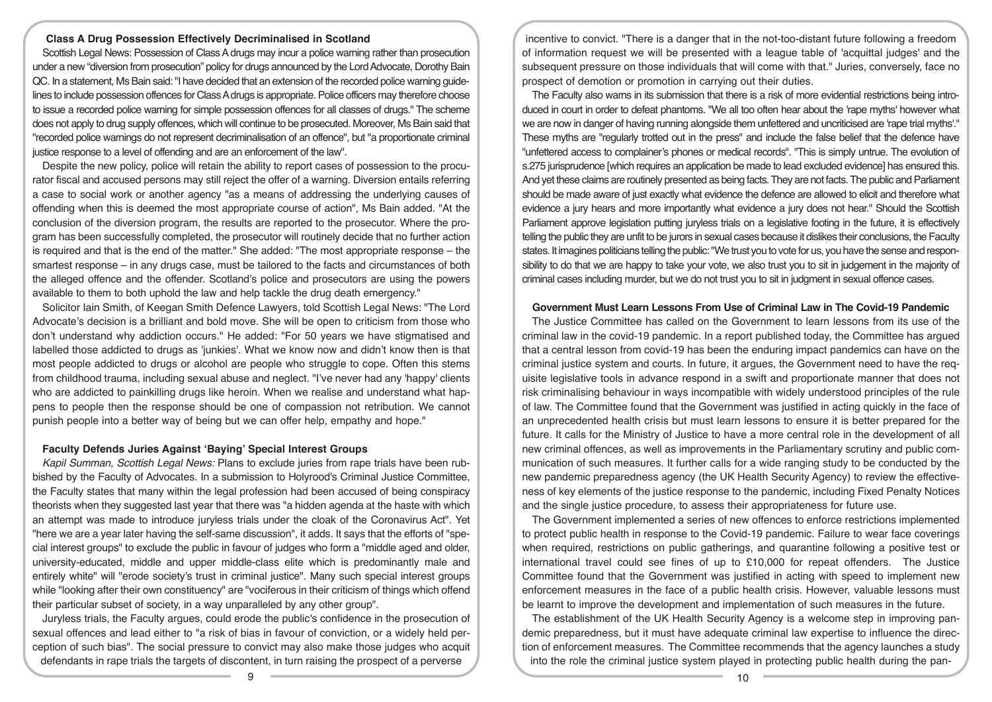## **Class A Drug Possession Effectively Decriminalised in Scotland**

Scottish Legal News: Possession of Class A drugs may incur a police warning rather than prosecution under a new "diversion from prosecution" policy for drugs announced by the Lord Advocate, Dorothy Bain QC. In a statement, Ms Bain said: "I have decided that an extension of the recorded police warning guidelines to include possession offences for Class A drugs is appropriate. Police officers may therefore choose to issue a recorded police warning for simple possession offences for all classes of drugs." The scheme does not apply to drug supply offences, which will continue to be prosecuted. Moreover, Ms Bain said that "recorded police warnings do not represent decriminalisation of an offence", but "a proportionate criminal justice response to a level of offending and are an enforcement of the law".

Despite the new policy, police will retain the ability to report cases of possession to the procurator fiscal and accused persons may still reject the offer of a warning. Diversion entails referring a case to social work or another agency "as a means of addressing the underlying causes of offending when this is deemed the most appropriate course of action", Ms Bain added. "At the conclusion of the diversion program, the results are reported to the prosecutor. Where the program has been successfully completed, the prosecutor will routinely decide that no further action is required and that is the end of the matter." She added: "The most appropriate response – the smartest response – in any drugs case, must be tailored to the facts and circumstances of both the alleged offence and the offender. Scotland's police and prosecutors are using the powers available to them to both uphold the law and help tackle the drug death emergency."

Solicitor Iain Smith, of Keegan Smith Defence Lawyers, told Scottish Legal News: "The Lord Advocate's decision is a brilliant and bold move. She will be open to criticism from those who don't understand why addiction occurs." He added: "For 50 years we have stigmatised and labelled those addicted to drugs as 'junkies'. What we know now and didn't know then is that most people addicted to drugs or alcohol are people who struggle to cope. Often this stems from childhood trauma, including sexual abuse and neglect. "I've never had any 'happy' clients who are addicted to painkilling drugs like heroin. When we realise and understand what happens to people then the response should be one of compassion not retribution. We cannot punish people into a better way of being but we can offer help, empathy and hope."

## **Faculty Defends Juries Against 'Baying' Special Interest Groups**

*Kapil Summan, Scottish Legal News:* Plans to exclude juries from rape trials have been rubbished by the Faculty of Advocates. In a submission to Holyrood's Criminal Justice Committee, the Faculty states that many within the legal profession had been accused of being conspiracy theorists when they suggested last year that there was "a hidden agenda at the haste with which an attempt was made to introduce juryless trials under the cloak of the Coronavirus Act". Yet "here we are a year later having the self-same discussion", it adds. It says that the efforts of "special interest groups" to exclude the public in favour of judges who form a "middle aged and older, university-educated, middle and upper middle-class elite which is predominantly male and entirely white" will "erode society's trust in criminal justice". Many such special interest groups while "looking after their own constituency" are "vociferous in their criticism of things which offend their particular subset of society, in a way unparalleled by any other group".

Juryless trials, the Faculty argues, could erode the public's confidence in the prosecution of sexual offences and lead either to "a risk of bias in favour of conviction, or a widely held perception of such bias". The social pressure to convict may also make those judges who acquit defendants in rape trials the targets of discontent, in turn raising the prospect of a perverse

incentive to convict. "There is a danger that in the not-too-distant future following a freedom of information request we will be presented with a league table of 'acquittal judges' and the subsequent pressure on those individuals that will come with that." Juries, conversely, face no prospect of demotion or promotion in carrying out their duties.

The Faculty also warns in its submission that there is a risk of more evidential restrictions being introduced in court in order to defeat phantoms. "We all too often hear about the 'rape myths' however what we are now in danger of having running alongside them unfettered and uncriticised are 'rape trial myths'." These myths are "regularly trotted out in the press" and include the false belief that the defence have "unfettered access to complainer's phones or medical records". "This is simply untrue. The evolution of s.275 jurisprudence [which requires an application be made to lead excluded evidence] has ensured this. And yet these claims are routinely presented as being facts. They are not facts. The public and Parliament should be made aware of just exactly what evidence the defence are allowed to elicit and therefore what evidence a jury hears and more importantly what evidence a jury does not hear." Should the Scottish Parliament approve legislation putting juryless trials on a legislative footing in the future, it is effectively telling the public they are unfit to be jurors in sexual cases because it dislikes their conclusions, the Faculty states. It imagines politicians telling the public: "We trust you to vote for us, you have the sense and responsibility to do that we are happy to take your vote, we also trust you to sit in judgement in the majority of criminal cases including murder, but we do not trust you to sit in judgment in sexual offence cases.

#### **Government Must Learn Lessons From Use of Criminal Law in The Covid-19 Pandemic**

The Justice Committee has called on the Government to learn lessons from its use of the criminal law in the covid-19 pandemic. In a report published today, the Committee has argued that a central lesson from covid-19 has been the enduring impact pandemics can have on the criminal justice system and courts. In future, it argues, the Government need to have the requisite legislative tools in advance respond in a swift and proportionate manner that does not risk criminalising behaviour in ways incompatible with widely understood principles of the rule of law. The Committee found that the Government was justified in acting quickly in the face of an unprecedented health crisis but must learn lessons to ensure it is better prepared for the future. It calls for the Ministry of Justice to have a more central role in the development of all new criminal offences, as well as improvements in the Parliamentary scrutiny and public communication of such measures. It further calls for a wide ranging study to be conducted by the new pandemic preparedness agency (the UK Health Security Agency) to review the effectiveness of key elements of the justice response to the pandemic, including Fixed Penalty Notices and the single justice procedure, to assess their appropriateness for future use.

The Government implemented a series of new offences to enforce restrictions implemented to protect public health in response to the Covid-19 pandemic. Failure to wear face coverings when required, restrictions on public gatherings, and quarantine following a positive test or international travel could see fines of up to £10,000 for repeat offenders. The Justice Committee found that the Government was justified in acting with speed to implement new enforcement measures in the face of a public health crisis. However, valuable lessons must be learnt to improve the development and implementation of such measures in the future.

The establishment of the UK Health Security Agency is a welcome step in improving pandemic preparedness, but it must have adequate criminal law expertise to influence the direction of enforcement measures. The Committee recommends that the agency launches a study into the role the criminal justice system played in protecting public health during the pan-